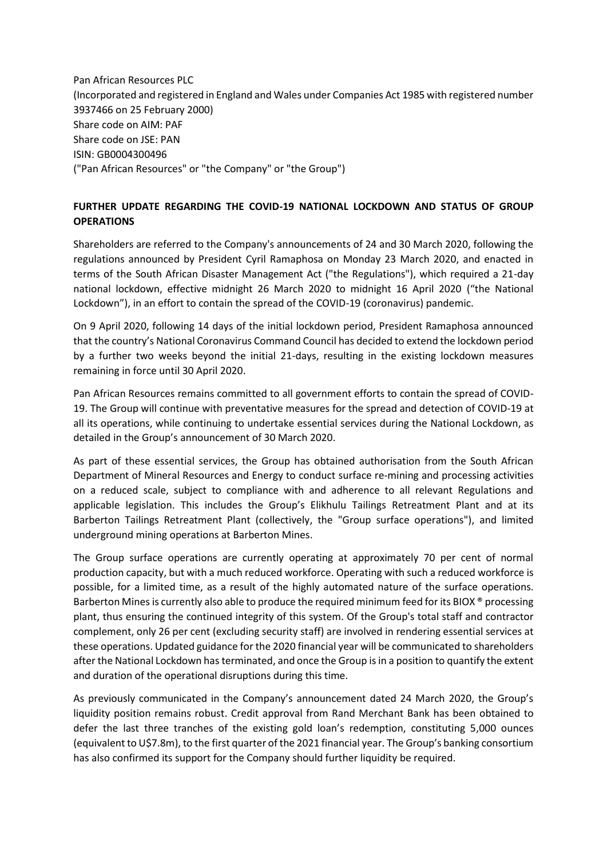Pan African Resources PLC (Incorporated and registered in England and Wales under Companies Act 1985 with registered number 3937466 on 25 February 2000) Share code on AIM: PAF Share code on JSE: PAN ISIN: GB0004300496 ("Pan African Resources" or "the Company" or "the Group")

## **FURTHER UPDATE REGARDING THE COVID-19 NATIONAL LOCKDOWN AND STATUS OF GROUP OPERATIONS**

Shareholders are referred to the Company's announcements of 24 and 30 March 2020, following the regulations announced by President Cyril Ramaphosa on Monday 23 March 2020, and enacted in terms of the South African Disaster Management Act ("the Regulations"), which required a 21-day national lockdown, effective midnight 26 March 2020 to midnight 16 April 2020 ("the National Lockdown"), in an effort to contain the spread of the COVID-19 (coronavirus) pandemic.

On 9 April 2020, following 14 days of the initial lockdown period, President Ramaphosa announced that the country's National Coronavirus Command Council has decided to extend the lockdown period by a further two weeks beyond the initial 21-days, resulting in the existing lockdown measures remaining in force until 30 April 2020.

Pan African Resources remains committed to all government efforts to contain the spread of COVID-19. The Group will continue with preventative measures for the spread and detection of COVID-19 at all its operations, while continuing to undertake essential services during the National Lockdown, as detailed in the Group's announcement of 30 March 2020.

As part of these essential services, the Group has obtained authorisation from the South African Department of Mineral Resources and Energy to conduct surface re-mining and processing activities on a reduced scale, subject to compliance with and adherence to all relevant Regulations and applicable legislation. This includes the Group's Elikhulu Tailings Retreatment Plant and at its Barberton Tailings Retreatment Plant (collectively, the "Group surface operations"), and limited underground mining operations at Barberton Mines.

The Group surface operations are currently operating at approximately 70 per cent of normal production capacity, but with a much reduced workforce. Operating with such a reduced workforce is possible, for a limited time, as a result of the highly automated nature of the surface operations. Barberton Mines is currently also able to produce the required minimum feed for its BIOX ® processing plant, thus ensuring the continued integrity of this system. Of the Group's total staff and contractor complement, only 26 per cent (excluding security staff) are involved in rendering essential services at these operations. Updated guidance for the 2020 financial year will be communicated to shareholders after the National Lockdown has terminated, and once the Group is in a position to quantify the extent and duration of the operational disruptions during this time.

As previously communicated in the Company's announcement dated 24 March 2020, the Group's liquidity position remains robust. Credit approval from Rand Merchant Bank has been obtained to defer the last three tranches of the existing gold loan's redemption, constituting 5,000 ounces (equivalent to U\$7.8m), to the first quarter of the 2021 financial year. The Group's banking consortium has also confirmed its support for the Company should further liquidity be required.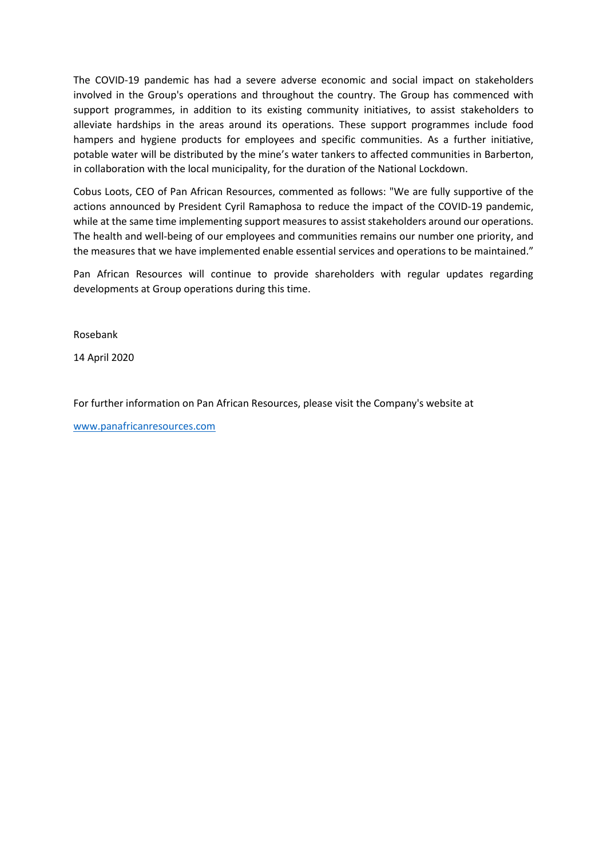The COVID-19 pandemic has had a severe adverse economic and social impact on stakeholders involved in the Group's operations and throughout the country. The Group has commenced with support programmes, in addition to its existing community initiatives, to assist stakeholders to alleviate hardships in the areas around its operations. These support programmes include food hampers and hygiene products for employees and specific communities. As a further initiative, potable water will be distributed by the mine's water tankers to affected communities in Barberton, in collaboration with the local municipality, for the duration of the National Lockdown.

Cobus Loots, CEO of Pan African Resources, commented as follows: "We are fully supportive of the actions announced by President Cyril Ramaphosa to reduce the impact of the COVID-19 pandemic, while at the same time implementing support measures to assist stakeholders around our operations. The health and well-being of our employees and communities remains our number one priority, and the measures that we have implemented enable essential services and operations to be maintained."

Pan African Resources will continue to provide shareholders with regular updates regarding developments at Group operations during this time.

Rosebank

14 April 2020

For further information on Pan African Resources, please visit the Company's website at

[www.panafricanresources.com](http://www.panafricanresources.com/)